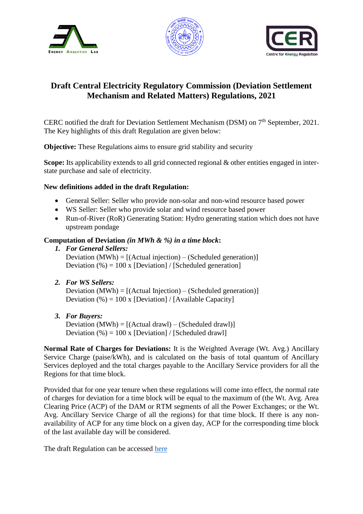





## **Draft Central Electricity Regulatory Commission (Deviation Settlement Mechanism and Related Matters) Regulations, 2021**

CERC notified the draft for Deviation Settlement Mechanism (DSM) on 7<sup>th</sup> September, 2021. The Key highlights of this draft Regulation are given below:

**Objective:** These Regulations aims to ensure grid stability and security

**Scope:** Its applicability extends to all grid connected regional & other entities engaged in interstate purchase and sale of electricity.

## **New definitions added in the draft Regulation:**

- General Seller: Seller who provide non-solar and non-wind resource based power
- WS Seller: Seller who provide solar and wind resource based power
- Run-of-River (RoR) Generating Station: Hydro generating station which does not have upstream pondage

## **Computation of Deviation** *(in MWh & %) in a time block***:**

*1. For General Sellers:*

Deviation  $(MWh) = [(Actual injection) - (Scheduled generation)]$ Deviation  $(\% ) = 100 \times [Deviation] / [Scheduled generation]$ 

*2. For WS Sellers:*

Deviation  $(MWh) = [(Actual Injection) - (Scheduled generation)]$ Deviation  $(\% ) = 100 \times [Deviation] / [Available Capacity]$ 

*3. For Buyers:*

Deviation  $(MWh) = [(Actual draw] - (Scheduled draw])]$ Deviation (%) = 100 x [Deviation] / [Scheduled drawl]

**Normal Rate of Charges for Deviations:** It is the Weighted Average (Wt. Avg.) Ancillary Service Charge (paise/kWh), and is calculated on the basis of total quantum of Ancillary Services deployed and the total charges payable to the Ancillary Service providers for all the Regions for that time block.

Provided that for one year tenure when these regulations will come into effect, the normal rate of charges for deviation for a time block will be equal to the maximum of (the Wt. Avg. Area Clearing Price (ACP) of the DAM or RTM segments of all the Power Exchanges; or the Wt. Avg. Ancillary Service Charge of all the regions) for that time block. If there is any nonavailability of ACP for any time block on a given day, ACP for the corresponding time block of the last available day will be considered.

The draft Regulation can be accessed [here](https://cer.iitk.ac.in/odf_assets/upload_files/blog/Draft_CERC_DSM_and_Related_Matters_Regulations_2021.pdf)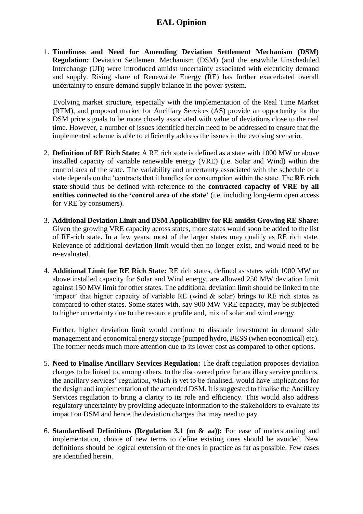## **EAL Opinion**

1. **Timeliness and Need for Amending Deviation Settlement Mechanism (DSM) Regulation:** Deviation Settlement Mechanism (DSM) (and the erstwhile Unscheduled Interchange (UI)) were introduced amidst uncertainty associated with electricity demand and supply. Rising share of Renewable Energy (RE) has further exacerbated overall uncertainty to ensure demand supply balance in the power system.

 Evolving market structure, especially with the implementation of the Real Time Market (RTM), and proposed market for Ancillary Services (AS) provide an opportunity for the DSM price signals to be more closely associated with value of deviations close to the real time. However, a number of issues identified herein need to be addressed to ensure that the implemented scheme is able to efficiently address the issues in the evolving scenario.

- 2. **Definition of RE Rich State:** A RE rich state is defined as a state with 1000 MW or above installed capacity of variable renewable energy (VRE) (i.e. Solar and Wind) within the control area of the state. The variability and uncertainty associated with the schedule of a state depends on the 'contracts that it handles for consumption within the state. The **RE rich state** should thus be defined with reference to the **contracted capacity of VRE by all entities connected to the 'control area of the state'** (i.e. including long-term open access for VRE by consumers).
- 3. **Additional Deviation Limit and DSM Applicability for RE amidst Growing RE Share:**  Given the growing VRE capacity across states, more states would soon be added to the list of RE-rich state**.** In a few years, most of the larger states may qualify as RE rich state. Relevance of additional deviation limit would then no longer exist, and would need to be re-evaluated.
- 4. **Additional Limit for RE Rich State:** RE rich states, defined as states with 1000 MW or above installed capacity for Solar and Wind energy, are allowed 250 MW deviation limit against 150 MW limit for other states. The additional deviation limit should be linked to the 'impact' that higher capacity of variable RE (wind & solar) brings to RE rich states as compared to other states. Some states with, say 900 MW VRE capacity, may be subjected to higher uncertainty due to the resource profile and, mix of solar and wind energy.

Further, higher deviation limit would continue to dissuade investment in demand side management and economical energy storage (pumped hydro, BESS (when economical) etc). The former needs much more attention due to its lower cost as compared to other options.

- 5. **Need to Finalise Ancillary Services Regulation:** The draft regulation proposes deviation charges to be linked to, among others, to the discovered price for ancillary service products. the ancillary services' regulation, which is yet to be finalised, would have implications for the design and implementation of the amended DSM. It is suggested to finalise the Ancillary Services regulation to bring a clarity to its role and efficiency. This would also address regulatory uncertainty by providing adequate information to the stakeholders to evaluate its impact on DSM and hence the deviation charges that may need to pay.
- 6. **Standardised Definitions (Regulation 3.1 (m & aa)):** For ease of understanding and implementation, choice of new terms to define existing ones should be avoided. New definitions should be logical extension of the ones in practice as far as possible. Few cases are identified herein.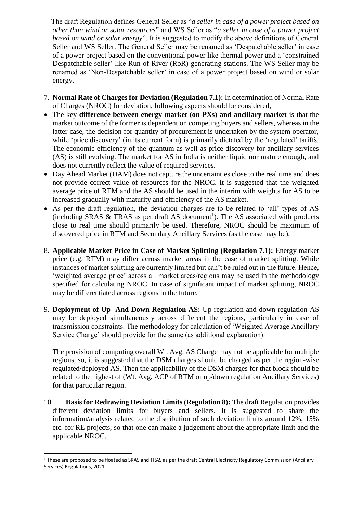The draft Regulation defines General Seller as "*a seller in case of a power project based on other than wind or solar resources*" and WS Seller as "*a seller in case of a power project based on wind or solar energy*". It is suggested to modify the above definitions of General Seller and WS Seller. The General Seller may be renamed as 'Despatchable seller' in case of a power project based on the conventional power like thermal power and a 'constrained Despatchable seller' like Run-of-River (RoR) generating stations. The WS Seller may be renamed as 'Non-Despatchable seller' in case of a power project based on wind or solar energy.

- 7. **Normal Rate of Charges for Deviation (Regulation 7.1):** In determination of Normal Rate of Charges (NROC) for deviation, following aspects should be considered,
- The key **difference between energy market (on PXs) and ancillary market** is that the market outcome of the former is dependent on competing buyers and sellers, whereas in the latter case, the decision for quantity of procurement is undertaken by the system operator, while 'price discovery' (in its current form) is primarily dictated by the 'regulated' tariffs. The economic efficiency of the quantum as well as price discovery for ancillary services (AS) is still evolving. The market for AS in India is neither liquid nor mature enough, and does not currently reflect the value of required services.
- Day Ahead Market (DAM) does not capture the uncertainties close to the real time and does not provide correct value of resources for the NROC. It is suggested that the weighted average price of RTM and the AS should be used in the interim with weights for AS to be increased gradually with maturity and efficiency of the AS market.
- As per the draft regulation, the deviation charges are to be related to 'all' types of AS  $(including SRAS & TRAS as per draft AS document<sup>1</sup>)$ . The AS associated with products close to real time should primarily be used. Therefore, NROC should be maximum of discovered price in RTM and Secondary Ancillary Services (as the case may be).
- 8. **Applicable Market Price in Case of Market Splitting (Regulation 7.1):** Energy market price (e.g. RTM) may differ across market areas in the case of market splitting. While instances of market splitting are currently limited but can't be ruled out in the future. Hence, 'weighted average price' across all market areas/regions may be used in the methodology specified for calculating NROC. In case of significant impact of market splitting, NROC may be differentiated across regions in the future.
- 9. **Deployment of Up- And Down-Regulation AS:** Up-regulation and down-regulation AS may be deployed simultaneously across different the regions, particularly in case of transmission constraints. The methodology for calculation of 'Weighted Average Ancillary Service Charge' should provide for the same (as additional explanation).

The provision of computing overall Wt. Avg. AS Charge may not be applicable for multiple regions, so, it is suggested that the DSM charges should be charged as per the region-wise regulated/deployed AS. Then the applicability of the DSM charges for that block should be related to the highest of (Wt. Avg. ACP of RTM or up/down regulation Ancillary Services) for that particular region.

10. **Basis for Redrawing Deviation Limits (Regulation 8):** The draft Regulation provides different deviation limits for buyers and sellers. It is suggested to share the information/analysis related to the distribution of such deviation limits around 12%, 15% etc. for RE projects, so that one can make a judgement about the appropriate limit and the applicable NROC.

**.** 

<sup>1</sup> These are proposed to be floated as SRAS and TRAS as per the draft Central Electricity Regulatory Commission (Ancillary Services) Regulations, 2021